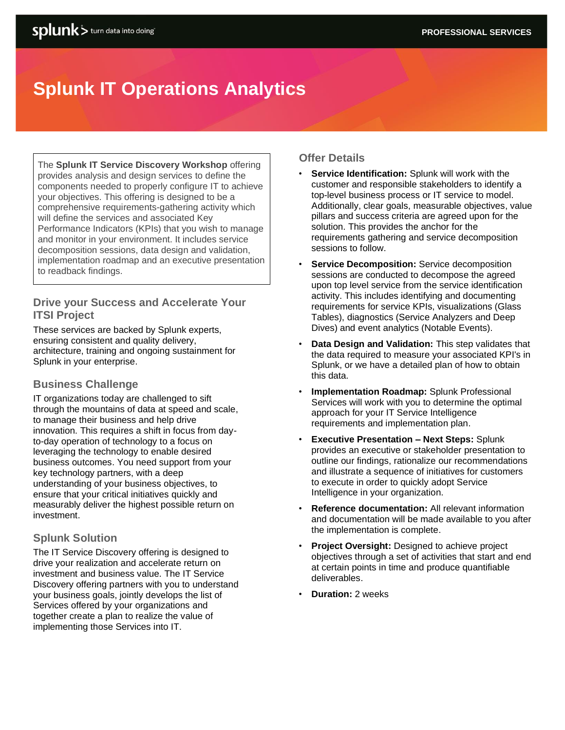# **Splunk IT Operations Analytics**

The **Splunk IT Service Discovery Workshop** offering provides analysis and design services to define the components needed to properly configure IT to achieve your objectives. This offering is designed to be a comprehensive requirements-gathering activity which will define the services and associated Key Performance Indicators (KPIs) that you wish to manage and monitor in your environment. It includes service decomposition sessions, data design and validation, implementation roadmap and an executive presentation to readback findings.

## **Drive your Success and Accelerate Your ITSI Project**

These services are backed by Splunk experts, ensuring consistent and quality delivery, architecture, training and ongoing sustainment for Splunk in your enterprise.

## **Business Challenge**

IT organizations today are challenged to sift through the mountains of data at speed and scale, to manage their business and help drive innovation. This requires a shift in focus from dayto-day operation of technology to a focus on leveraging the technology to enable desired business outcomes. You need support from your key technology partners, with a deep understanding of your business objectives, to ensure that your critical initiatives quickly and measurably deliver the highest possible return on investment.

## **Splunk Solution**

The IT Service Discovery offering is designed to drive your realization and accelerate return on investment and business value. The IT Service Discovery offering partners with you to understand your business goals, jointly develops the list of Services offered by your organizations and together create a plan to realize the value of implementing those Services into IT.

## **Offer Details**

- **Service Identification:** Splunk will work with the customer and responsible stakeholders to identify a top-level business process or IT service to model. Additionally, clear goals, measurable objectives, value pillars and success criteria are agreed upon for the solution. This provides the anchor for the requirements gathering and service decomposition sessions to follow.
- **Service Decomposition:** Service decomposition sessions are conducted to decompose the agreed upon top level service from the service identification activity. This includes identifying and documenting requirements for service KPIs, visualizations (Glass Tables), diagnostics (Service Analyzers and Deep Dives) and event analytics (Notable Events).
- **Data Design and Validation:** This step validates that the data required to measure your associated KPI's in Splunk, or we have a detailed plan of how to obtain this data.
- **Implementation Roadmap:** Splunk Professional Services will work with you to determine the optimal approach for your IT Service Intelligence requirements and implementation plan.
- **Executive Presentation – Next Steps:** Splunk provides an executive or stakeholder presentation to outline our findings, rationalize our recommendations and illustrate a sequence of initiatives for customers to execute in order to quickly adopt Service Intelligence in your organization.
- **Reference documentation:** All relevant information and documentation will be made available to you after the implementation is complete.
- **Project Oversight:** Designed to achieve project objectives through a set of activities that start and end at certain points in time and produce quantifiable deliverables.
- **Duration:** 2 weeks